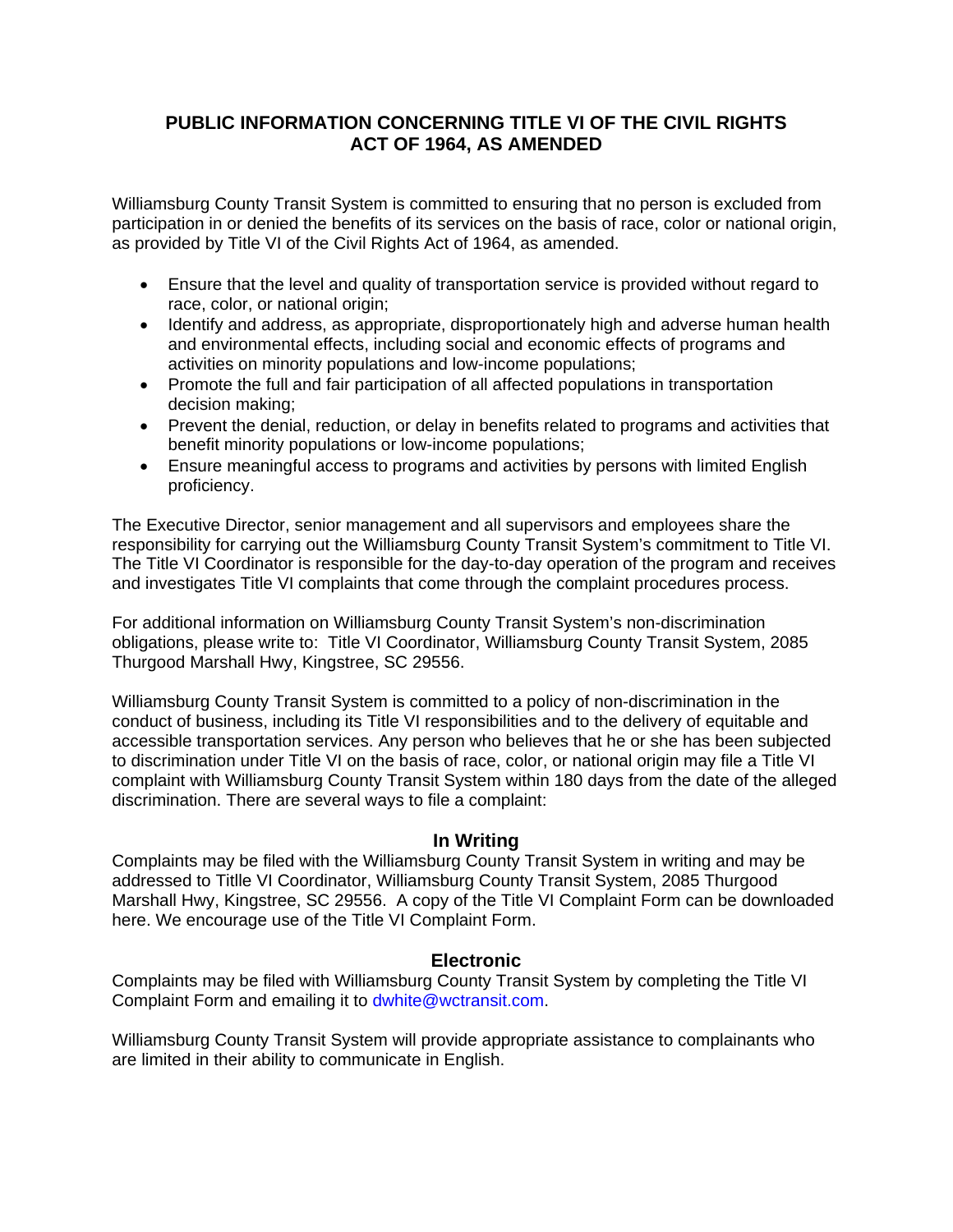## **PUBLIC INFORMATION CONCERNING TITLE VI OF THE CIVIL RIGHTS ACT OF 1964, AS AMENDED**

Williamsburg County Transit System is committed to ensuring that no person is excluded from participation in or denied the benefits of its services on the basis of race, color or national origin, as provided by Title VI of the Civil Rights Act of 1964, as amended.

- Ensure that the level and quality of transportation service is provided without regard to race, color, or national origin;
- Identify and address, as appropriate, disproportionately high and adverse human health and environmental effects, including social and economic effects of programs and activities on minority populations and low-income populations;
- Promote the full and fair participation of all affected populations in transportation decision making;
- Prevent the denial, reduction, or delay in benefits related to programs and activities that benefit minority populations or low-income populations;
- Ensure meaningful access to programs and activities by persons with limited English proficiency.

The Executive Director, senior management and all supervisors and employees share the responsibility for carrying out the Williamsburg County Transit System's commitment to Title VI. The Title VI Coordinator is responsible for the day-to-day operation of the program and receives and investigates Title VI complaints that come through the complaint procedures process.

For additional information on Williamsburg County Transit System's non-discrimination obligations, please write to: Title VI Coordinator, Williamsburg County Transit System, 2085 Thurgood Marshall Hwy, Kingstree, SC 29556.

Williamsburg County Transit System is committed to a policy of non-discrimination in the conduct of business, including its Title VI responsibilities and to the delivery of equitable and accessible transportation services. Any person who believes that he or she has been subjected to discrimination under Title VI on the basis of race, color, or national origin may file a Title VI complaint with Williamsburg County Transit System within 180 days from the date of the alleged discrimination. There are several ways to file a complaint:

## **In Writing**

Complaints may be filed with the Williamsburg County Transit System in writing and may be addressed to Titlle VI Coordinator, Williamsburg County Transit System, 2085 Thurgood Marshall Hwy, Kingstree, SC 29556. A copy of the Title VI Complaint Form can be downloaded here. We encourage use of the Title VI Complaint Form.

## **Electronic**

Complaints may be filed with Williamsburg County Transit System by completing the Title VI Complaint Form and emailing it to dwhite@wctransit.com.

Williamsburg County Transit System will provide appropriate assistance to complainants who are limited in their ability to communicate in English.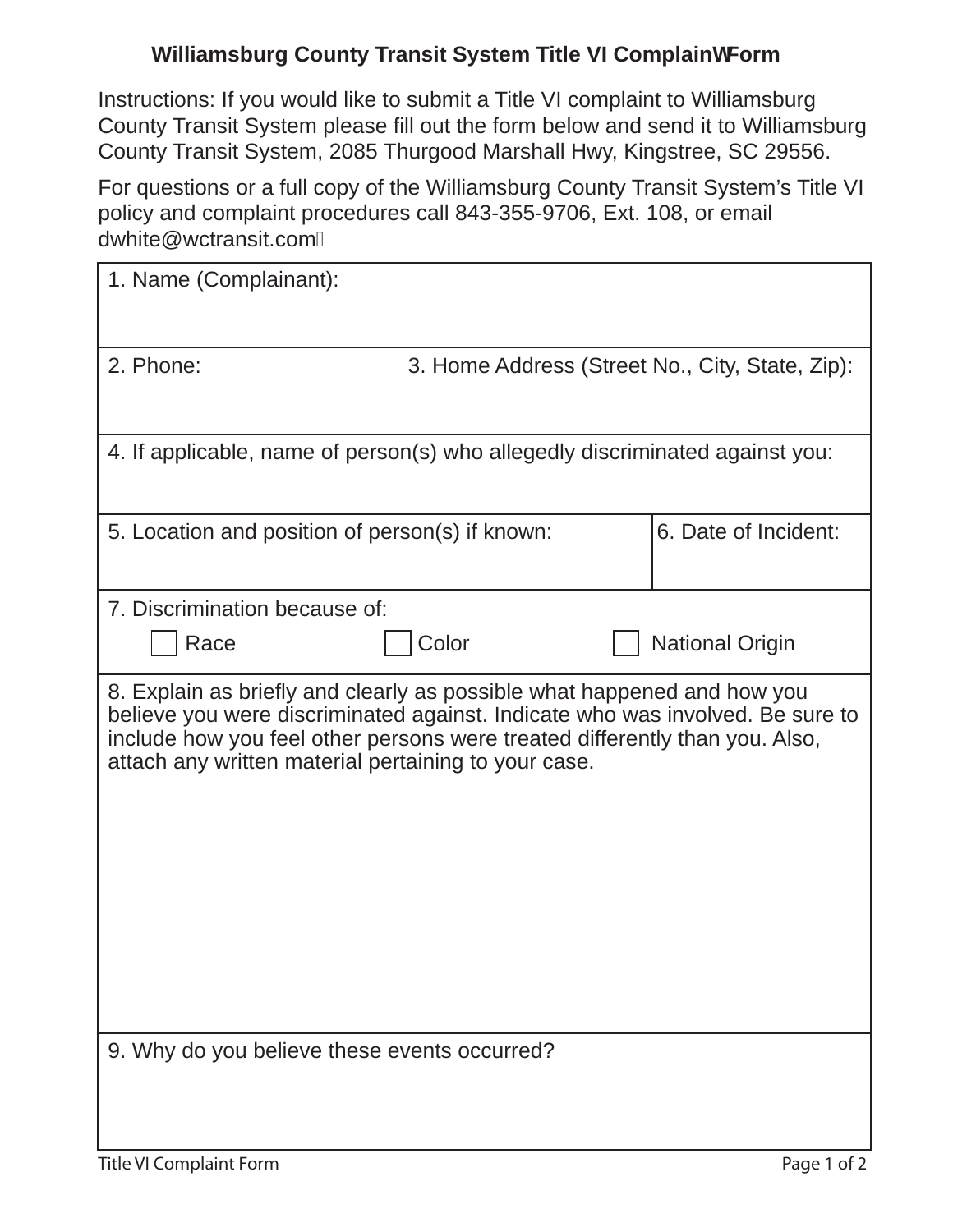## **Williamsburg County Transit System Title VI Complainh Form**

Instructions: If you would like to submit a Title VI complaint to Williamsburg County Transit System please fill out the form below and send it to Williamsburg County Transit System, 2085 Thurgood Marshall Hwy, Kingstree, SC 29556.

For questions or a full copy of the Williamsburg County Transit System's Title VI policy and complaint procedures call 843-355-9706, Ext. 108, or email dwhite@wctransit.com

| 1. Name (Complainant):                                                                                                                                                                                                                                                                          |                                                 |                        |
|-------------------------------------------------------------------------------------------------------------------------------------------------------------------------------------------------------------------------------------------------------------------------------------------------|-------------------------------------------------|------------------------|
| 2. Phone:                                                                                                                                                                                                                                                                                       | 3. Home Address (Street No., City, State, Zip): |                        |
| 4. If applicable, name of person(s) who allegedly discriminated against you:                                                                                                                                                                                                                    |                                                 |                        |
| 5. Location and position of person(s) if known:                                                                                                                                                                                                                                                 |                                                 | 6. Date of Incident:   |
| 7. Discrimination because of:                                                                                                                                                                                                                                                                   |                                                 |                        |
| Race                                                                                                                                                                                                                                                                                            | Color                                           | <b>National Origin</b> |
| 8. Explain as briefly and clearly as possible what happened and how you<br>believe you were discriminated against. Indicate who was involved. Be sure to<br>include how you feel other persons were treated differently than you. Also,<br>attach any written material pertaining to your case. |                                                 |                        |
| 9. Why do you believe these events occurred?                                                                                                                                                                                                                                                    |                                                 |                        |
|                                                                                                                                                                                                                                                                                                 |                                                 |                        |